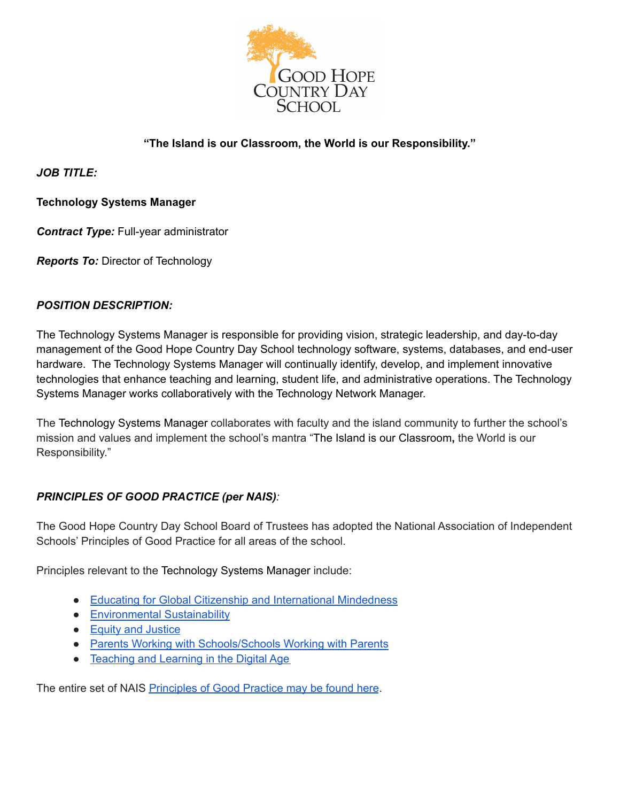

# **"The Island is our Classroom, the World is our Responsibility."**

*JOB TITLE:*

# **Technology Systems Manager**

*Contract Type:* Full-year administrator

*Reports To:* Director of Technology

### *POSITION DESCRIPTION:*

The Technology Systems Manager is responsible for providing vision, strategic leadership, and day-to-day management of the Good Hope Country Day School technology software, systems, databases, and end-user hardware. The Technology Systems Manager will continually identify, develop, and implement innovative technologies that enhance teaching and learning, student life, and administrative operations. The Technology Systems Manager works collaboratively with the Technology Network Manager.

The Technology Systems Manager collaborates with faculty and the island community to further the school's mission and values and implement the school's mantra "The Island is our Classroom**,** the World is our Responsibility."

# *PRINCIPLES OF GOOD PRACTICE (per NAIS):*

The Good Hope Country Day School Board of Trustees has adopted the National Association of Independent Schools' Principles of Good Practice for all areas of the school.

Principles relevant to the Technology Systems Manager include:

- Educating for Global Citizenship and [International](https://www.nais.org/learn/principles-of-good-practice/educating-for-global-citizenship/) Mindedness
- [Environmental](https://www.nais.org/learn/principles-of-good-practice/environmental-sustainability/) Sustainability
- Equity and [Justice](https://www.nais.org/learn/principles-of-good-practice/equity-and-justice/)
- Parents Working with [Schools/Schools](https://www.nais.org/learn/principles-of-good-practice/parents-working-with-schools-schools-working-with/) Working with Parents
- [Teaching](https://www.nais.org/learn/principles-of-good-practice/teaching-and-learning-in-the-digital-age/) and Learning in the Digital Age

The entire set of NAIS [Principles](https://www.nais.org/learn/principles-of-good-practice/) of Good Practice may be found here.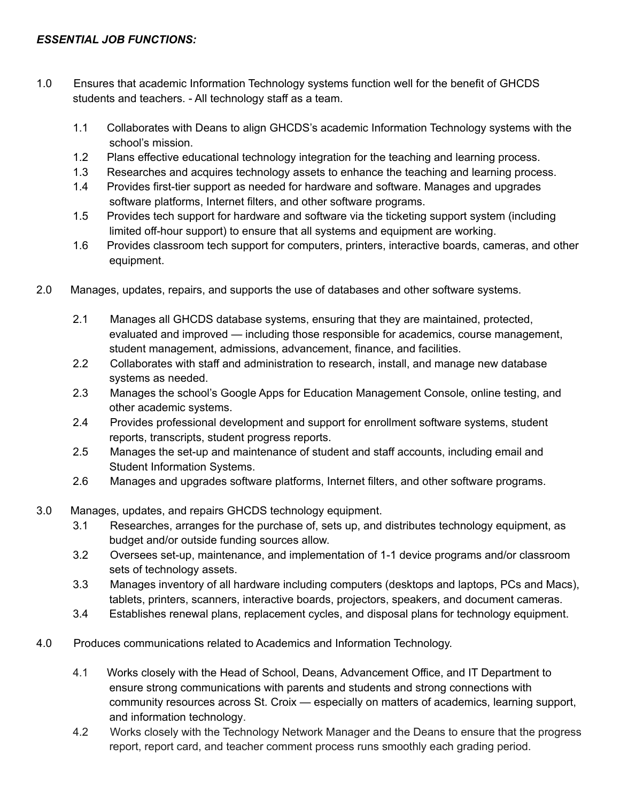- 1.0 Ensures that academic Information Technology systems function well for the benefit of GHCDS students and teachers. - All technology staff as a team.
	- 1.1 Collaborates with Deans to align GHCDS's academic Information Technology systems with the school's mission.
	- 1.2 Plans effective educational technology integration for the teaching and learning process.
	- 1.3 Researches and acquires technology assets to enhance the teaching and learning process.
	- 1.4 Provides first-tier support as needed for hardware and software. Manages and upgrades software platforms, Internet filters, and other software programs.
	- 1.5 Provides tech support for hardware and software via the ticketing support system (including limited off-hour support) to ensure that all systems and equipment are working.
	- 1.6 Provides classroom tech support for computers, printers, interactive boards, cameras, and other equipment.
- 2.0 Manages, updates, repairs, and supports the use of databases and other software systems.
	- 2.1 Manages all GHCDS database systems, ensuring that they are maintained, protected, evaluated and improved — including those responsible for academics, course management, student management, admissions, advancement, finance, and facilities.
	- 2.2 Collaborates with staff and administration to research, install, and manage new database systems as needed.
	- 2.3 Manages the school's Google Apps for Education Management Console, online testing, and other academic systems.
	- 2.4 Provides professional development and support for enrollment software systems, student reports, transcripts, student progress reports.
	- 2.5 Manages the set-up and maintenance of student and staff accounts, including email and Student Information Systems.
	- 2.6 Manages and upgrades software platforms, Internet filters, and other software programs.
- 3.0 Manages, updates, and repairs GHCDS technology equipment.
	- 3.1 Researches, arranges for the purchase of, sets up, and distributes technology equipment, as budget and/or outside funding sources allow.
	- 3.2 Oversees set-up, maintenance, and implementation of 1-1 device programs and/or classroom sets of technology assets.
	- 3.3 Manages inventory of all hardware including computers (desktops and laptops, PCs and Macs), tablets, printers, scanners, interactive boards, projectors, speakers, and document cameras.
	- 3.4 Establishes renewal plans, replacement cycles, and disposal plans for technology equipment.
- 4.0 Produces communications related to Academics and Information Technology.
	- 4.1 Works closely with the Head of School, Deans, Advancement Office, and IT Department to ensure strong communications with parents and students and strong connections with community resources across St. Croix — especially on matters of academics, learning support, and information technology.
	- 4.2 Works closely with the Technology Network Manager and the Deans to ensure that the progress report, report card, and teacher comment process runs smoothly each grading period.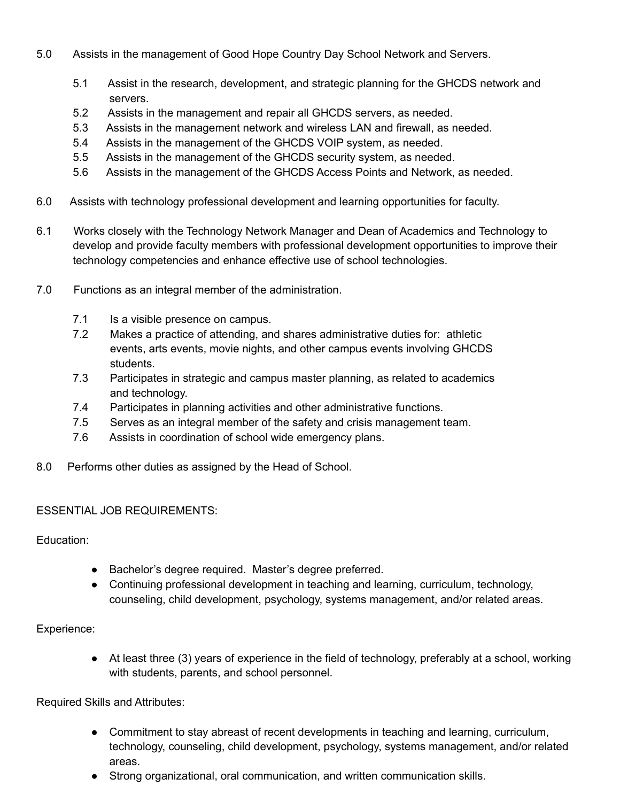- 5.0 Assists in the management of Good Hope Country Day School Network and Servers.
	- 5.1 Assist in the research, development, and strategic planning for the GHCDS network and servers.
	- 5.2 Assists in the management and repair all GHCDS servers, as needed.
	- 5.3 Assists in the management network and wireless LAN and firewall, as needed.
	- 5.4 Assists in the management of the GHCDS VOIP system, as needed.
	- 5.5 Assists in the management of the GHCDS security system, as needed.
	- 5.6 Assists in the management of the GHCDS Access Points and Network, as needed.
- 6.0 Assists with technology professional development and learning opportunities for faculty.
- 6.1 Works closely with the Technology Network Manager and Dean of Academics and Technology to develop and provide faculty members with professional development opportunities to improve their technology competencies and enhance effective use of school technologies.
- 7.0 Functions as an integral member of the administration.
	- 7.1 **Is a visible presence on campus.**
	- 7.2 Makes a practice of attending, and shares administrative duties for: athletic events, arts events, movie nights, and other campus events involving GHCDS students.
	- 7.3 Participates in strategic and campus master planning, as related to academics and technology.
	- 7.4 Participates in planning activities and other administrative functions.
	- 7.5 Serves as an integral member of the safety and crisis management team.
	- 7.6 Assists in coordination of school wide emergency plans.
- 8.0 Performs other duties as assigned by the Head of School.

#### ESSENTIAL JOB REQUIREMENTS:

Education:

- Bachelor's degree required. Master's degree preferred.
- Continuing professional development in teaching and learning, curriculum, technology, counseling, child development, psychology, systems management, and/or related areas.

Experience:

● At least three (3) years of experience in the field of technology, preferably at a school, working with students, parents, and school personnel.

Required Skills and Attributes:

- Commitment to stay abreast of recent developments in teaching and learning, curriculum, technology, counseling, child development, psychology, systems management, and/or related areas.
- Strong organizational, oral communication, and written communication skills.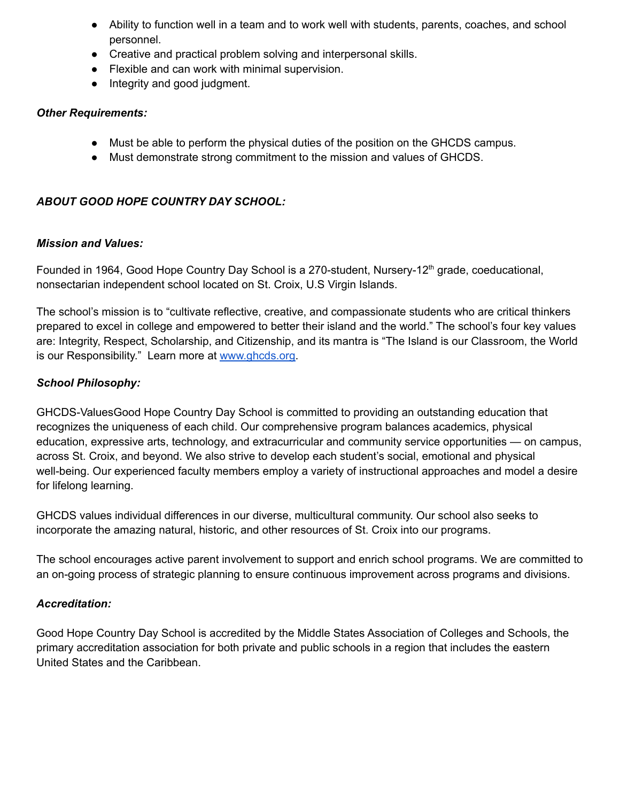- Ability to function well in a team and to work well with students, parents, coaches, and school personnel.
- Creative and practical problem solving and interpersonal skills.
- Flexible and can work with minimal supervision.
- Integrity and good judgment.

### *Other Requirements:*

- Must be able to perform the physical duties of the position on the GHCDS campus.
- Must demonstrate strong commitment to the mission and values of GHCDS.

# *ABOUT GOOD HOPE COUNTRY DAY SCHOOL:*

# *Mission and Values:*

Founded in 1964, Good Hope Country Day School is a 270-student, Nursery-12<sup>th</sup> grade, coeducational, nonsectarian independent school located on St. Croix, U.S Virgin Islands.

The school's mission is to "cultivate reflective, creative, and compassionate students who are critical thinkers prepared to excel in college and empowered to better their island and the world." The school's four key values are: Integrity, Respect, Scholarship, and Citizenship, and its mantra is "The Island is our Classroom, the World is our Responsibility." Learn more at [www.ghcds.org.](http://www.ghcds.org/)

# *School Philosophy:*

GHCDS-ValuesGood Hope Country Day School is committed to providing an outstanding education that recognizes the uniqueness of each child. Our comprehensive program balances academics, physical education, expressive arts, technology, and extracurricular and community service opportunities — on campus, across St. Croix, and beyond. We also strive to develop each student's social, emotional and physical well-being. Our experienced faculty members employ a variety of instructional approaches and model a desire for lifelong learning.

GHCDS values individual differences in our diverse, multicultural community. Our school also seeks to incorporate the amazing natural, historic, and other resources of St. Croix into our programs.

The school encourages active parent involvement to support and enrich school programs. We are committed to an on-going process of strategic planning to ensure continuous improvement across programs and divisions.

# *Accreditation:*

Good Hope Country Day School is accredited by the Middle States Association of Colleges and Schools, the primary accreditation association for both private and public schools in a region that includes the eastern United States and the Caribbean.